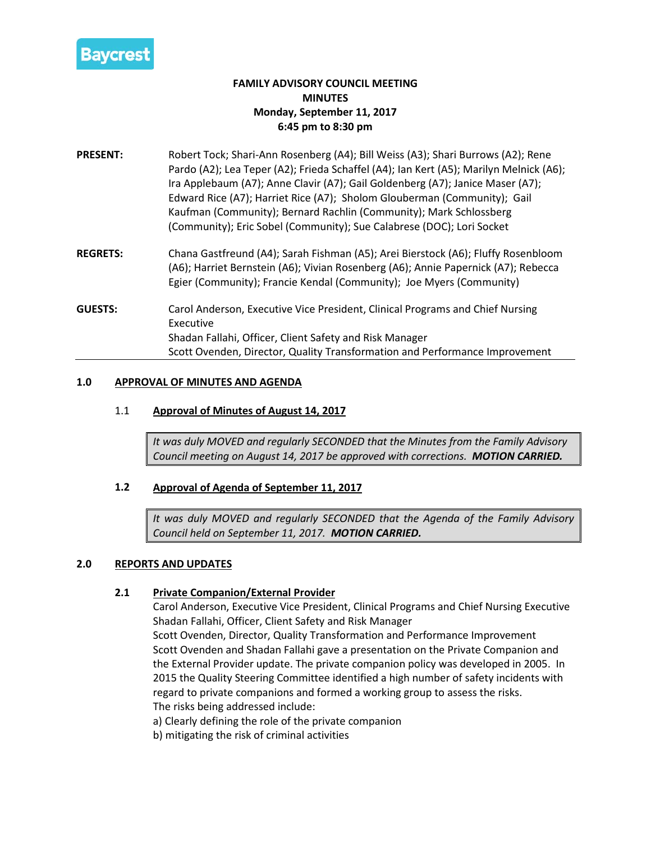

# **FAMILY ADVISORY COUNCIL MEETING MINUTES Monday, September 11, 2017 6:45 pm to 8:30 pm**

- **PRESENT:** Robert Tock; Shari-Ann Rosenberg (A4); Bill Weiss (A3); Shari Burrows (A2); Rene Pardo (A2); Lea Teper (A2); Frieda Schaffel (A4); Ian Kert (A5); Marilyn Melnick (A6); Ira Applebaum (A7); Anne Clavir (A7); Gail Goldenberg (A7); Janice Maser (A7); Edward Rice (A7); Harriet Rice (A7); Sholom Glouberman (Community); Gail Kaufman (Community); Bernard Rachlin (Community); Mark Schlossberg (Community); Eric Sobel (Community); Sue Calabrese (DOC); Lori Socket **REGRETS:** Chana Gastfreund (A4); Sarah Fishman (A5); Arei Bierstock (A6); Fluffy Rosenbloom (A6); Harriet Bernstein (A6); Vivian Rosenberg (A6); Annie Papernick (A7); Rebecca Egier (Community); Francie Kendal (Community); Joe Myers (Community)
- **GUESTS:** Carol Anderson, Executive Vice President, Clinical Programs and Chief Nursing Executive Shadan Fallahi, Officer, Client Safety and Risk Manager Scott Ovenden, Director, Quality Transformation and Performance Improvement

# **1.0 APPROVAL OF MINUTES AND AGENDA**

# 1.1 **Approval of Minutes of August 14, 2017**

*It was duly MOVED and regularly SECONDED that the Minutes from the Family Advisory Council meeting on August 14, 2017 be approved with corrections. MOTION CARRIED.*

# **1.2 Approval of Agenda of September 11, 2017**

*It was duly MOVED and regularly SECONDED that the Agenda of the Family Advisory Council held on September 11, 2017. MOTION CARRIED.*

#### **2.0 REPORTS AND UPDATES**

# **2.1 Private Companion/External Provider**

Carol Anderson, Executive Vice President, Clinical Programs and Chief Nursing Executive Shadan Fallahi, Officer, Client Safety and Risk Manager Scott Ovenden, Director, Quality Transformation and Performance Improvement Scott Ovenden and Shadan Fallahi gave a presentation on the Private Companion and the External Provider update. The private companion policy was developed in 2005. In 2015 the Quality Steering Committee identified a high number of safety incidents with regard to private companions and formed a working group to assess the risks. The risks being addressed include:

a) Clearly defining the role of the private companion

b) mitigating the risk of criminal activities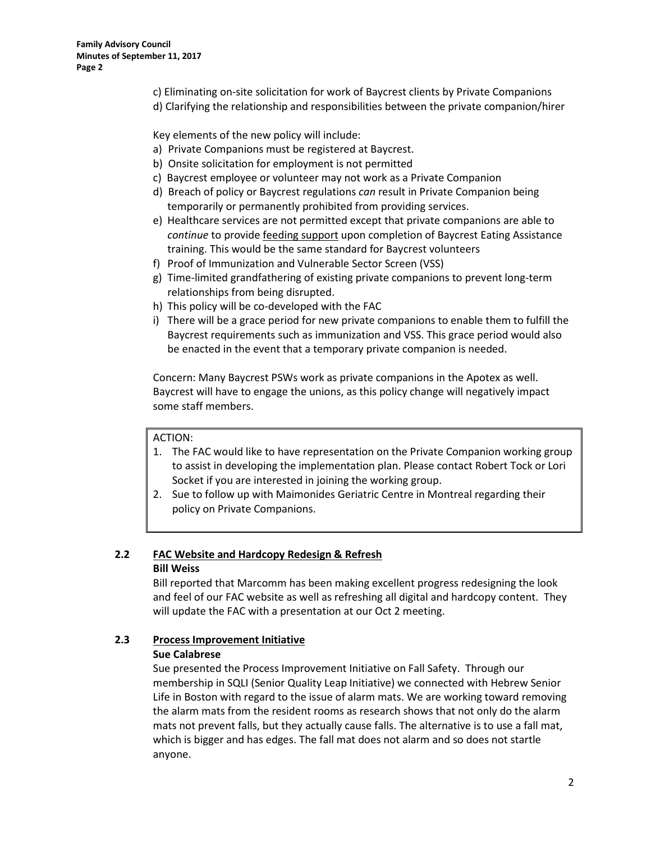- c) Eliminating on-site solicitation for work of Baycrest clients by Private Companions
- d) Clarifying the relationship and responsibilities between the private companion/hirer

Key elements of the new policy will include:

- a) Private Companions must be registered at Baycrest.
- b) Onsite solicitation for employment is not permitted
- c) Baycrest employee or volunteer may not work as a Private Companion
- d) Breach of policy or Baycrest regulations *can* result in Private Companion being temporarily or permanently prohibited from providing services.
- e) Healthcare services are not permitted except that private companions are able to *continue* to provide feeding support upon completion of Baycrest Eating Assistance training. This would be the same standard for Baycrest volunteers
- f) Proof of Immunization and Vulnerable Sector Screen (VSS)
- g) Time-limited grandfathering of existing private companions to prevent long-term relationships from being disrupted.
- h) This policy will be co-developed with the FAC
- i) There will be a grace period for new private companions to enable them to fulfill the Baycrest requirements such as immunization and VSS. This grace period would also be enacted in the event that a temporary private companion is needed.

Concern: Many Baycrest PSWs work as private companions in the Apotex as well. Baycrest will have to engage the unions, as this policy change will negatively impact some staff members.

#### ACTION:

- 1. The FAC would like to have representation on the Private Companion working group to assist in developing the implementation plan. Please contact Robert Tock or Lori Socket if you are interested in joining the working group.
- 2. Sue to follow up with Maimonides Geriatric Centre in Montreal regarding their policy on Private Companions.

# **2.2 FAC Website and Hardcopy Redesign & Refresh Bill Weiss**

Bill reported that Marcomm has been making excellent progress redesigning the look and feel of our FAC website as well as refreshing all digital and hardcopy content. They will update the FAC with a presentation at our Oct 2 meeting.

# **2.3 Process Improvement Initiative**

#### **Sue Calabrese**

Sue presented the Process Improvement Initiative on Fall Safety. Through our membership in SQLI (Senior Quality Leap Initiative) we connected with Hebrew Senior Life in Boston with regard to the issue of alarm mats. We are working toward removing the alarm mats from the resident rooms as research shows that not only do the alarm mats not prevent falls, but they actually cause falls. The alternative is to use a fall mat, which is bigger and has edges. The fall mat does not alarm and so does not startle anyone.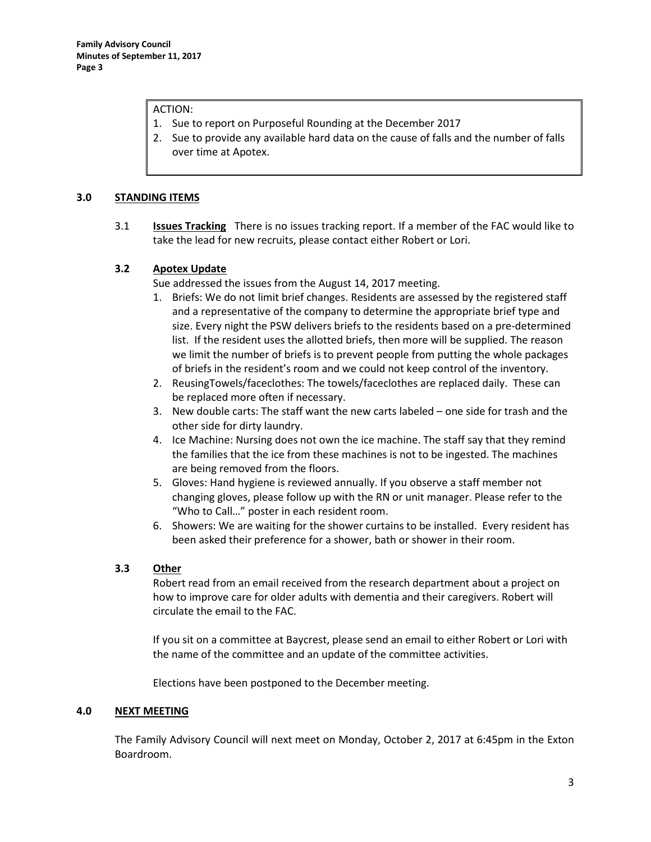#### ACTION:

- 1. Sue to report on Purposeful Rounding at the December 2017
- 2. Sue to provide any available hard data on the cause of falls and the number of falls over time at Apotex.

#### **3.0 STANDING ITEMS**

3.1 **Issues Tracking** There is no issues tracking report. If a member of the FAC would like to take the lead for new recruits, please contact either Robert or Lori.

### **3.2 Apotex Update**

Sue addressed the issues from the August 14, 2017 meeting.

- 1. Briefs: We do not limit brief changes. Residents are assessed by the registered staff and a representative of the company to determine the appropriate brief type and size. Every night the PSW delivers briefs to the residents based on a pre-determined list. If the resident uses the allotted briefs, then more will be supplied. The reason we limit the number of briefs is to prevent people from putting the whole packages of briefs in the resident's room and we could not keep control of the inventory.
- 2. ReusingTowels/faceclothes: The towels/faceclothes are replaced daily. These can be replaced more often if necessary.
- 3. New double carts: The staff want the new carts labeled one side for trash and the other side for dirty laundry.
- 4. Ice Machine: Nursing does not own the ice machine. The staff say that they remind the families that the ice from these machines is not to be ingested. The machines are being removed from the floors.
- 5. Gloves: Hand hygiene is reviewed annually. If you observe a staff member not changing gloves, please follow up with the RN or unit manager. Please refer to the "Who to Call…" poster in each resident room.
- 6. Showers: We are waiting for the shower curtains to be installed. Every resident has been asked their preference for a shower, bath or shower in their room.

# **3.3 Other**

Robert read from an email received from the research department about a project on how to improve care for older adults with dementia and their caregivers. Robert will circulate the email to the FAC.

If you sit on a committee at Baycrest, please send an email to either Robert or Lori with the name of the committee and an update of the committee activities.

Elections have been postponed to the December meeting.

#### **4.0 NEXT MEETING**

The Family Advisory Council will next meet on Monday, October 2, 2017 at 6:45pm in the Exton Boardroom.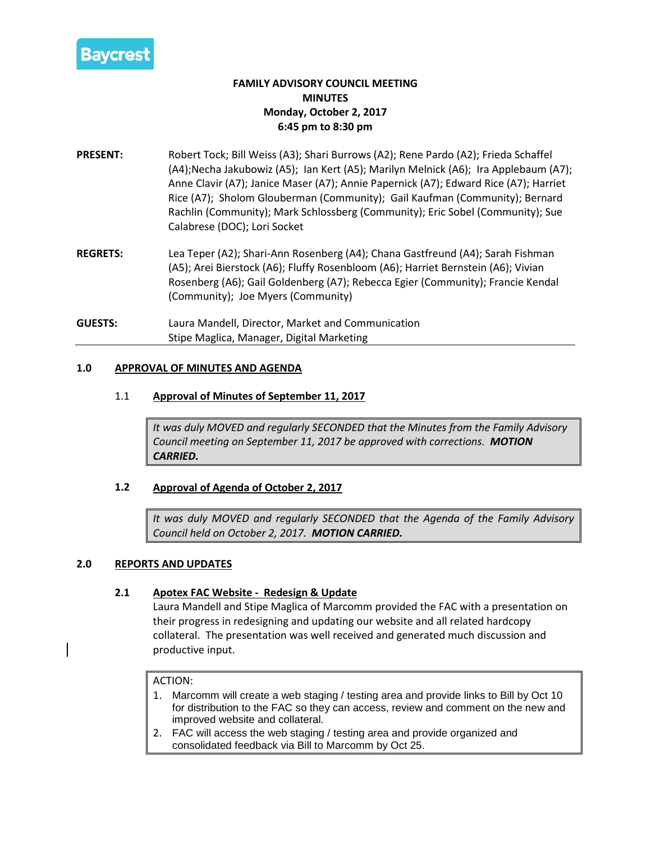

# **FAMILY ADVISORY COUNCIL MEETING MINUTES Monday, October 2, 2017 6:45 pm to 8:30 pm**

- **PRESENT:** Robert Tock; Bill Weiss (A3); Shari Burrows (A2); Rene Pardo (A2); Frieda Schaffel (A4);Necha Jakubowiz (A5); Ian Kert (A5); Marilyn Melnick (A6); Ira Applebaum (A7); Anne Clavir (A7); Janice Maser (A7); Annie Papernick (A7); Edward Rice (A7); Harriet Rice (A7); Sholom Glouberman (Community); Gail Kaufman (Community); Bernard Rachlin (Community); Mark Schlossberg (Community); Eric Sobel (Community); Sue Calabrese (DOC); Lori Socket
- **REGRETS:** Lea Teper (A2); Shari-Ann Rosenberg (A4); Chana Gastfreund (A4); Sarah Fishman (A5); Arei Bierstock (A6); Fluffy Rosenbloom (A6); Harriet Bernstein (A6); Vivian Rosenberg (A6); Gail Goldenberg (A7); Rebecca Egier (Community); Francie Kendal (Community); Joe Myers (Community)
- **GUESTS:** Laura Mandell, Director, Market and Communication Stipe Maglica, Manager, Digital Marketing

# **1.0 APPROVAL OF MINUTES AND AGENDA**

### 1.1 **Approval of Minutes of September 11, 2017**

*It was duly MOVED and regularly SECONDED that the Minutes from the Family Advisory Council meeting on September 11, 2017 be approved with corrections. MOTION CARRIED.*

# **1.2 Approval of Agenda of October 2, 2017**

*It was duly MOVED and regularly SECONDED that the Agenda of the Family Advisory Council held on October 2, 2017. MOTION CARRIED.*

#### **2.0 REPORTS AND UPDATES**

# **2.1 Apotex FAC Website - Redesign & Update**

Laura Mandell and Stipe Maglica of Marcomm provided the FAC with a presentation on their progress in redesigning and updating our website and all related hardcopy collateral. The presentation was well received and generated much discussion and productive input.

#### ACTION:

- 1. Marcomm will create a web staging / testing area and provide links to Bill by Oct 10 for distribution to the FAC so they can access, review and comment on the new and improved website and collateral.
- 2. FAC will access the web staging / testing area and provide organized and consolidated feedback via Bill to Marcomm by Oct 25.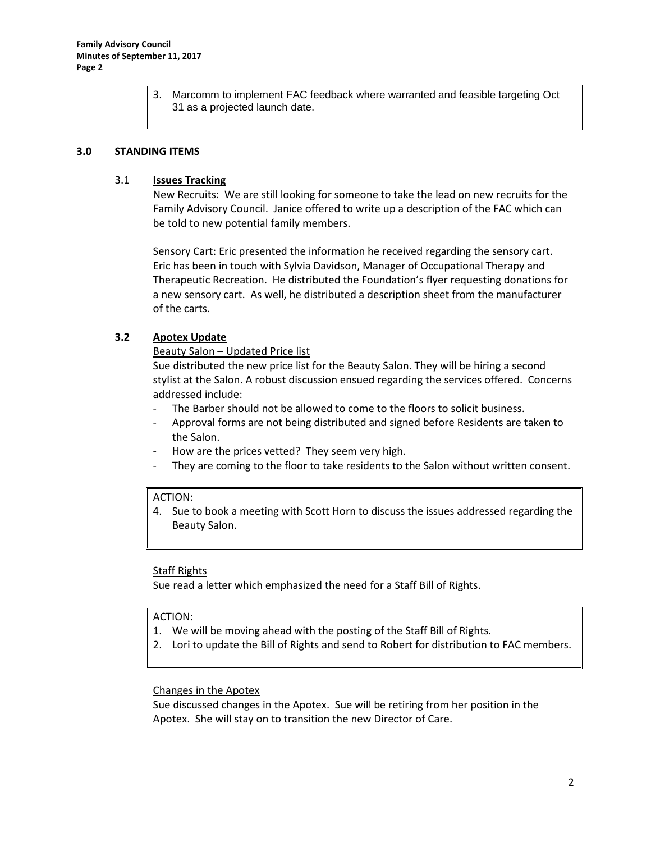3. Marcomm to implement FAC feedback where warranted and feasible targeting Oct 31 as a projected launch date.

# **3.0 STANDING ITEMS**

#### 3.1 **Issues Tracking**

New Recruits: We are still looking for someone to take the lead on new recruits for the Family Advisory Council. Janice offered to write up a description of the FAC which can be told to new potential family members.

Sensory Cart: Eric presented the information he received regarding the sensory cart. Eric has been in touch with Sylvia Davidson, Manager of Occupational Therapy and Therapeutic Recreation. He distributed the Foundation's flyer requesting donations for a new sensory cart. As well, he distributed a description sheet from the manufacturer of the carts.

### **3.2 Apotex Update**

### Beauty Salon – Updated Price list

Sue distributed the new price list for the Beauty Salon. They will be hiring a second stylist at the Salon. A robust discussion ensued regarding the services offered. Concerns addressed include:

- The Barber should not be allowed to come to the floors to solicit business.
- Approval forms are not being distributed and signed before Residents are taken to the Salon.
- How are the prices vetted? They seem very high.
- They are coming to the floor to take residents to the Salon without written consent.

#### ACTION:

4. Sue to book a meeting with Scott Horn to discuss the issues addressed regarding the Beauty Salon.

# Staff Rights

Sue read a letter which emphasized the need for a Staff Bill of Rights.

# ACTION:

- 1. We will be moving ahead with the posting of the Staff Bill of Rights.
- 2. Lori to update the Bill of Rights and send to Robert for distribution to FAC members.

# Changes in the Apotex

Sue discussed changes in the Apotex. Sue will be retiring from her position in the Apotex. She will stay on to transition the new Director of Care.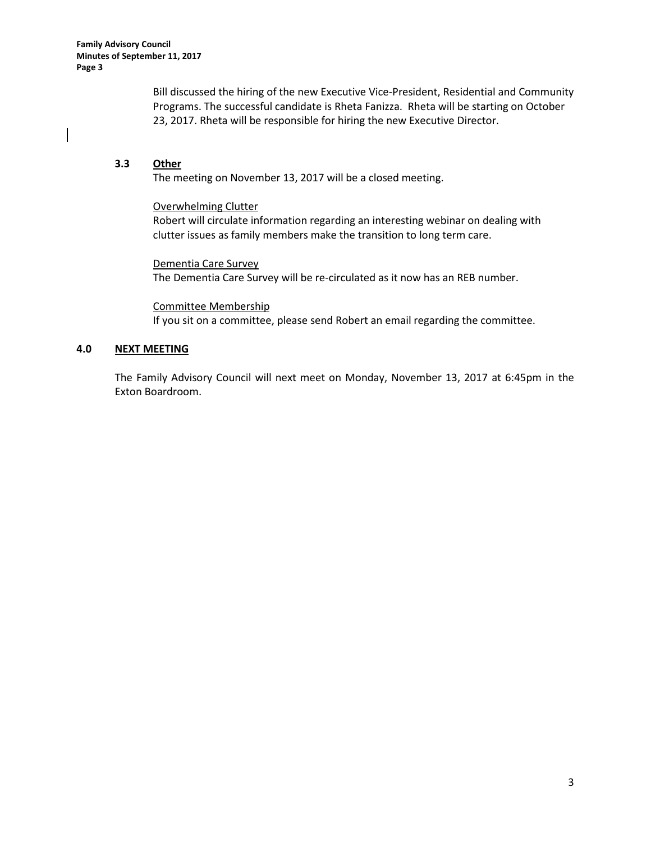Bill discussed the hiring of the new Executive Vice-President, Residential and Community Programs. The successful candidate is Rheta Fanizza. Rheta will be starting on October 23, 2017. Rheta will be responsible for hiring the new Executive Director.

# **3.3 Other**

The meeting on November 13, 2017 will be a closed meeting.

#### Overwhelming Clutter

Robert will circulate information regarding an interesting webinar on dealing with clutter issues as family members make the transition to long term care.

Dementia Care Survey The Dementia Care Survey will be re-circulated as it now has an REB number.

Committee Membership If you sit on a committee, please send Robert an email regarding the committee.

# **4.0 NEXT MEETING**

The Family Advisory Council will next meet on Monday, November 13, 2017 at 6:45pm in the Exton Boardroom.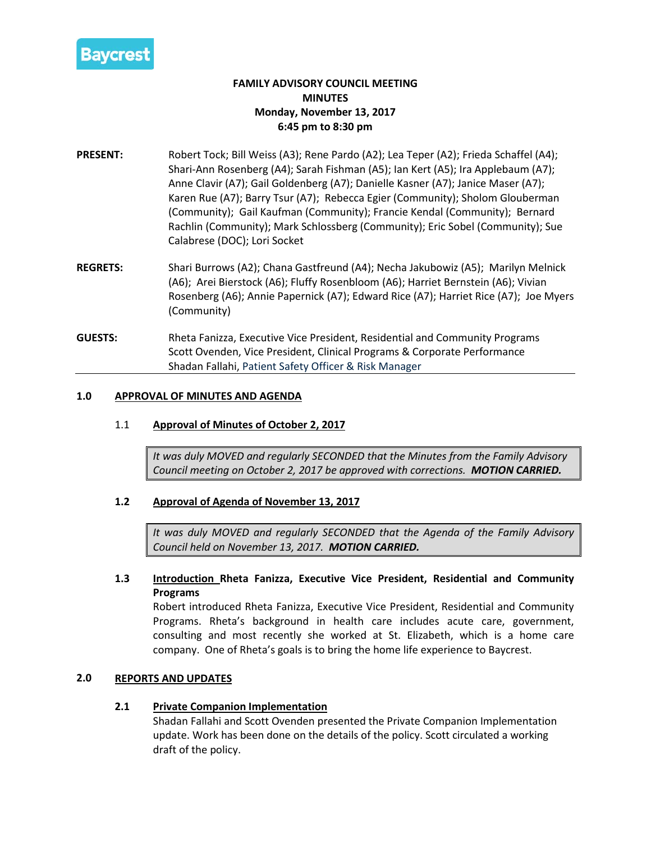

# **FAMILY ADVISORY COUNCIL MEETING MINUTES Monday, November 13, 2017 6:45 pm to 8:30 pm**

- **PRESENT:** Robert Tock; Bill Weiss (A3); Rene Pardo (A2); Lea Teper (A2); Frieda Schaffel (A4); Shari-Ann Rosenberg (A4); Sarah Fishman (A5); Ian Kert (A5); Ira Applebaum (A7); Anne Clavir (A7); Gail Goldenberg (A7); Danielle Kasner (A7); Janice Maser (A7); Karen Rue (A7); Barry Tsur (A7); Rebecca Egier (Community); Sholom Glouberman (Community); Gail Kaufman (Community); Francie Kendal (Community); Bernard Rachlin (Community); Mark Schlossberg (Community); Eric Sobel (Community); Sue Calabrese (DOC); Lori Socket
- **REGRETS:** Shari Burrows (A2); Chana Gastfreund (A4); Necha Jakubowiz (A5); Marilyn Melnick (A6); Arei Bierstock (A6); Fluffy Rosenbloom (A6); Harriet Bernstein (A6); Vivian Rosenberg (A6); Annie Papernick (A7); Edward Rice (A7); Harriet Rice (A7); Joe Myers (Community)
- **GUESTS:** Rheta Fanizza, Executive Vice President, Residential and Community Programs Scott Ovenden, Vice President, Clinical Programs & Corporate Performance Shadan Fallahi, Patient Safety Officer & Risk Manager

### **1.0 APPROVAL OF MINUTES AND AGENDA**

### 1.1 **Approval of Minutes of October 2, 2017**

*It was duly MOVED and regularly SECONDED that the Minutes from the Family Advisory Council meeting on October 2, 2017 be approved with corrections. MOTION CARRIED.*

# **1.2 Approval of Agenda of November 13, 2017**

*It was duly MOVED and regularly SECONDED that the Agenda of the Family Advisory Council held on November 13, 2017. MOTION CARRIED.*

# **1.3 Introduction Rheta Fanizza, Executive Vice President, Residential and Community Programs**

Robert introduced Rheta Fanizza, Executive Vice President, Residential and Community Programs. Rheta's background in health care includes acute care, government, consulting and most recently she worked at St. Elizabeth, which is a home care company. One of Rheta's goals is to bring the home life experience to Baycrest.

# **2.0 REPORTS AND UPDATES**

# **2.1 Private Companion Implementation**

Shadan Fallahi and Scott Ovenden presented the Private Companion Implementation update. Work has been done on the details of the policy. Scott circulated a working draft of the policy.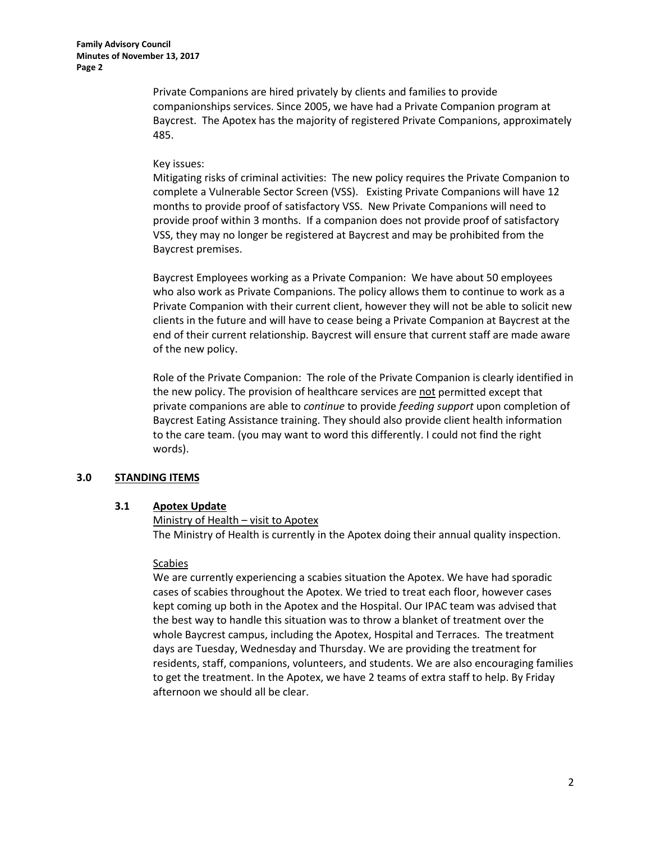Private Companions are hired privately by clients and families to provide companionships services. Since 2005, we have had a Private Companion program at Baycrest. The Apotex has the majority of registered Private Companions, approximately 485.

#### Key issues:

Mitigating risks of criminal activities: The new policy requires the Private Companion to complete a Vulnerable Sector Screen (VSS). Existing Private Companions will have 12 months to provide proof of satisfactory VSS. New Private Companions will need to provide proof within 3 months. If a companion does not provide proof of satisfactory VSS, they may no longer be registered at Baycrest and may be prohibited from the Baycrest premises.

Baycrest Employees working as a Private Companion: We have about 50 employees who also work as Private Companions. The policy allows them to continue to work as a Private Companion with their current client, however they will not be able to solicit new clients in the future and will have to cease being a Private Companion at Baycrest at the end of their current relationship. Baycrest will ensure that current staff are made aware of the new policy.

Role of the Private Companion: The role of the Private Companion is clearly identified in the new policy. The provision of healthcare services are not permitted except that private companions are able to *continue* to provide *feeding support* upon completion of Baycrest Eating Assistance training. They should also provide client health information to the care team. (you may want to word this differently. I could not find the right words).

#### **3.0 STANDING ITEMS**

# **3.1 Apotex Update**

Ministry of Health – visit to Apotex The Ministry of Health is currently in the Apotex doing their annual quality inspection.

#### Scabies

We are currently experiencing a scabies situation the Apotex. We have had sporadic cases of scabies throughout the Apotex. We tried to treat each floor, however cases kept coming up both in the Apotex and the Hospital. Our IPAC team was advised that the best way to handle this situation was to throw a blanket of treatment over the whole Baycrest campus, including the Apotex, Hospital and Terraces. The treatment days are Tuesday, Wednesday and Thursday. We are providing the treatment for residents, staff, companions, volunteers, and students. We are also encouraging families to get the treatment. In the Apotex, we have 2 teams of extra staff to help. By Friday afternoon we should all be clear.